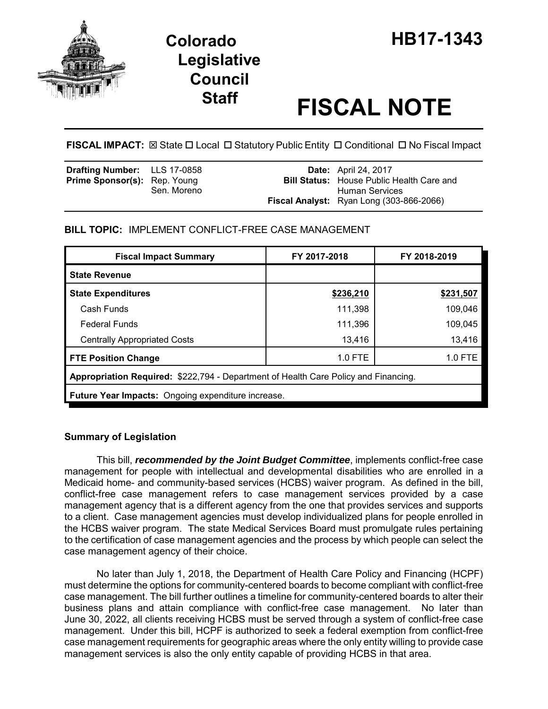

# **Staff FISCAL NOTE**

FISCAL IMPACT:  $\boxtimes$  State  $\Box$  Local  $\Box$  Statutory Public Entity  $\Box$  Conditional  $\Box$  No Fiscal Impact

| <b>Drafting Number:</b> LLS 17-0858 |             | <b>Date:</b> April 24, 2017                      |
|-------------------------------------|-------------|--------------------------------------------------|
| <b>Prime Sponsor(s):</b> Rep. Young |             | <b>Bill Status:</b> House Public Health Care and |
|                                     | Sen. Moreno | Human Services                                   |
|                                     |             | <b>Fiscal Analyst:</b> Ryan Long (303-866-2066)  |

**BILL TOPIC:** IMPLEMENT CONFLICT-FREE CASE MANAGEMENT

| <b>Fiscal Impact Summary</b>                                                        | FY 2017-2018 | FY 2018-2019 |  |  |
|-------------------------------------------------------------------------------------|--------------|--------------|--|--|
| <b>State Revenue</b>                                                                |              |              |  |  |
| <b>State Expenditures</b>                                                           | \$236,210    | \$231,507    |  |  |
| Cash Funds                                                                          | 111,398      | 109,046      |  |  |
| <b>Federal Funds</b>                                                                | 111,396      | 109,045      |  |  |
| <b>Centrally Appropriated Costs</b>                                                 | 13,416       | 13,416       |  |  |
| <b>FTE Position Change</b>                                                          | $1.0$ FTE    | 1.0 FTE      |  |  |
| Appropriation Required: \$222,794 - Department of Health Care Policy and Financing. |              |              |  |  |
| Future Year Impacts: Ongoing expenditure increase.                                  |              |              |  |  |
|                                                                                     |              |              |  |  |

# **Summary of Legislation**

This bill, *recommended by the Joint Budget Committee*, implements conflict-free case management for people with intellectual and developmental disabilities who are enrolled in a Medicaid home- and community-based services (HCBS) waiver program. As defined in the bill, conflict-free case management refers to case management services provided by a case management agency that is a different agency from the one that provides services and supports to a client. Case management agencies must develop individualized plans for people enrolled in the HCBS waiver program. The state Medical Services Board must promulgate rules pertaining to the certification of case management agencies and the process by which people can select the case management agency of their choice.

No later than July 1, 2018, the Department of Health Care Policy and Financing (HCPF) must determine the options for community-centered boards to become compliant with conflict-free case management. The bill further outlines a timeline for community-centered boards to alter their business plans and attain compliance with conflict-free case management. No later than June 30, 2022, all clients receiving HCBS must be served through a system of conflict-free case management. Under this bill, HCPF is authorized to seek a federal exemption from conflict-free case management requirements for geographic areas where the only entity willing to provide case management services is also the only entity capable of providing HCBS in that area.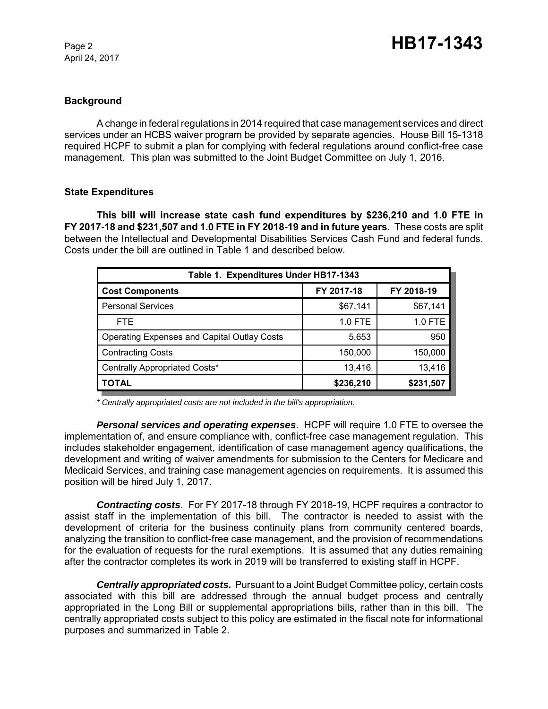April 24, 2017

### **Background**

A change in federal regulations in 2014 required that case management services and direct services under an HCBS waiver program be provided by separate agencies. House Bill 15-1318 required HCPF to submit a plan for complying with federal regulations around conflict-free case management. This plan was submitted to the Joint Budget Committee on July 1, 2016.

#### **State Expenditures**

**This bill will increase state cash fund expenditures by \$236,210 and 1.0 FTE in FY 2017-18 and \$231,507 and 1.0 FTE in FY 2018-19 and in future years.** These costs are split between the Intellectual and Developmental Disabilities Services Cash Fund and federal funds. Costs under the bill are outlined in Table 1 and described below.

| Table 1. Expenditures Under HB17-1343              |            |            |  |  |
|----------------------------------------------------|------------|------------|--|--|
| <b>Cost Components</b>                             | FY 2017-18 | FY 2018-19 |  |  |
| <b>Personal Services</b>                           | \$67,141   | \$67,141   |  |  |
| <b>FTE</b>                                         | 1.0 FTE    | 1.0 FTE    |  |  |
| <b>Operating Expenses and Capital Outlay Costs</b> | 5,653      | 950        |  |  |
| <b>Contracting Costs</b>                           | 150,000    | 150,000    |  |  |
| Centrally Appropriated Costs*                      | 13,416     | 13,416     |  |  |
| <b>TOTAL</b>                                       | \$236,210  | \$231,507  |  |  |

*\* Centrally appropriated costs are not included in the bill's appropriation.*

*Personal services and operating expenses*. HCPF will require 1.0 FTE to oversee the implementation of, and ensure compliance with, conflict-free case management regulation. This includes stakeholder engagement, identification of case management agency qualifications, the development and writing of waiver amendments for submission to the Centers for Medicare and Medicaid Services, and training case management agencies on requirements. It is assumed this position will be hired July 1, 2017.

*Contracting costs*. For FY 2017-18 through FY 2018-19, HCPF requires a contractor to assist staff in the implementation of this bill. The contractor is needed to assist with the development of criteria for the business continuity plans from community centered boards, analyzing the transition to conflict-free case management, and the provision of recommendations for the evaluation of requests for the rural exemptions. It is assumed that any duties remaining after the contractor completes its work in 2019 will be transferred to existing staff in HCPF.

*Centrally appropriated costs.* Pursuant to a Joint Budget Committee policy, certain costs associated with this bill are addressed through the annual budget process and centrally appropriated in the Long Bill or supplemental appropriations bills, rather than in this bill. The centrally appropriated costs subject to this policy are estimated in the fiscal note for informational purposes and summarized in Table 2.